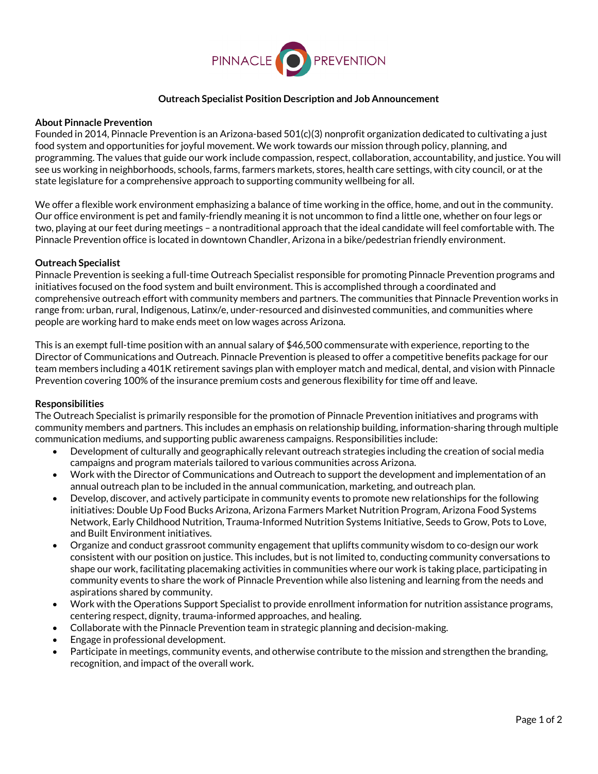

# **Outreach Specialist Position Description and Job Announcement**

#### **About Pinnacle Prevention**

Founded in 2014, Pinnacle Prevention is an Arizona-based 501(c)(3) nonprofit organization dedicated to cultivating a just food system and opportunities for joyful movement. We work towards our mission through policy, planning, and programming. The values that guide our work include compassion, respect, collaboration, accountability, and justice. You will see us working in neighborhoods, schools, farms, farmers markets, stores, health care settings, with city council, or at the state legislature for a comprehensive approach to supporting community wellbeing for all.

We offer a flexible work environment emphasizing a balance of time working in the office, home, and out in the community. Our office environment is pet and family-friendly meaning it is not uncommon to find a little one, whether on four legs or two, playing at our feet during meetings – a nontraditional approach that the ideal candidate will feel comfortable with. The Pinnacle Prevention office is located in downtown Chandler, Arizona in a bike/pedestrian friendly environment.

## **Outreach Specialist**

Pinnacle Prevention is seeking a full-time Outreach Specialist responsible for promoting Pinnacle Prevention programs and initiatives focused on the food system and built environment. This is accomplished through a coordinated and comprehensive outreach effort with community members and partners. The communities that Pinnacle Prevention works in range from: urban, rural, Indigenous, Latinx/e, under-resourced and disinvested communities, and communities where people are working hard to make ends meet on low wages across Arizona.

This is an exempt full-time position with an annual salary of \$46,500 commensurate with experience, reporting to the Director of Communications and Outreach. Pinnacle Prevention is pleased to offer a competitive benefits package for our team members including a 401K retirement savings plan with employer match and medical, dental, and vision with Pinnacle Prevention covering 100% of the insurance premium costs and generous flexibility for time off and leave.

#### **Responsibilities**

The Outreach Specialist is primarily responsible for the promotion of Pinnacle Prevention initiatives and programs with community members and partners. This includes an emphasis on relationship building, information-sharing through multiple communication mediums, and supporting public awareness campaigns. Responsibilities include:

- Development of culturally and geographically relevant outreach strategies including the creation of social media campaigns and program materials tailored to various communities across Arizona.
- Work with the Director of Communications and Outreach to support the development and implementation of an annual outreach plan to be included in the annual communication, marketing, and outreach plan.
- Develop, discover, and actively participate in community events to promote new relationships for the following initiatives: Double Up Food Bucks Arizona, Arizona Farmers Market Nutrition Program, Arizona Food Systems Network, Early Childhood Nutrition, Trauma-Informed Nutrition Systems Initiative, Seeds to Grow, Pots to Love, and Built Environment initiatives.
- Organize and conduct grassroot community engagement that uplifts community wisdom to co-design our work consistent with our position on justice. This includes, but is not limited to, conducting community conversations to shape our work, facilitating placemaking activities in communities where our work is taking place, participating in community events to share the work of Pinnacle Prevention while also listening and learning from the needs and aspirations shared by community.
- Work with the Operations Support Specialist to provide enrollment information for nutrition assistance programs, centering respect, dignity, trauma-informed approaches, and healing.
- Collaborate with the Pinnacle Prevention team in strategic planning and decision-making.
- Engage in professional development.
- Participate in meetings, community events, and otherwise contribute to the mission and strengthen the branding, recognition, and impact of the overall work.